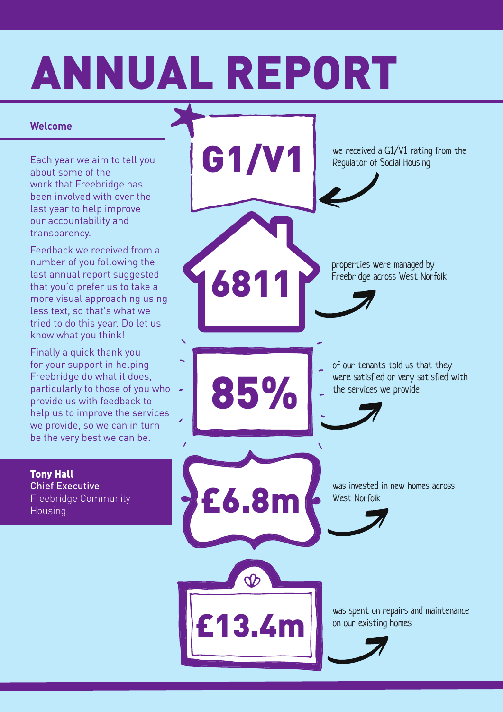#### ANNUAL REPORT

#### **Welcome**

Each year we aim to tell you about some of the work that Freebridge has been involved with over the last year to help improve our accountability and transparency.

Feedback we received from a number of you following the last annual report suggested that you'd prefer us to take a more visual approaching using less text, so that's what we tried to do this year. Do let us know what you think!

Finally a quick thank you for your support in helping Freebridge do what it does, particularly to those of you who  $\sim$ provide us with feedback to help us to improve the services we provide, so we can in turn be the very best we can be.

Tony Hall Chief Executive Freebridge Community Housing

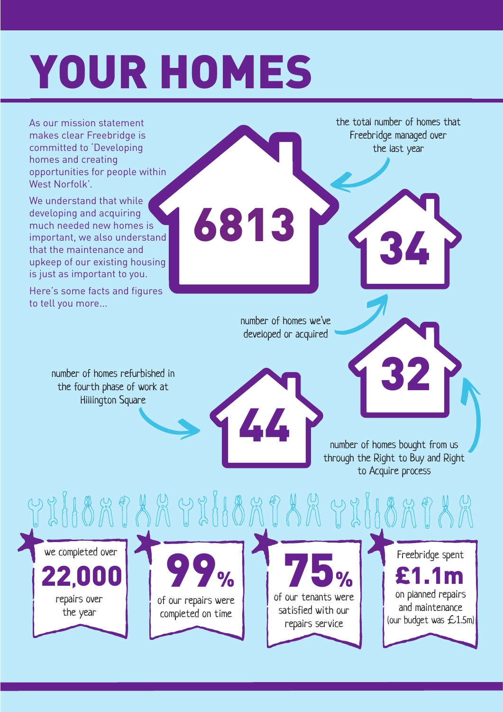# YOUR HOMES

As our mission statement makes clear Freebridge is committed to 'Developing homes and creating opportunities for people within West Norfolk'.

We understand that while developing and acquiring much needed new homes is important, we also understand that the maintenance and upkeep of our existing housing is just as important to you.

Here's some facts and figures to tell you more...

> number of homes refurbished in the fourth phase of work at Hillington Square

the total number of homes that Freebridge managed over the last year

34

number of homes we've developed or acquired

44

6813

number of homes bought from us through the Right to Buy and Right to Acquire process

32

Y XHBAJ AR Y XHBAJ AR Y XHBAJ AR we completed over Freebridge spent **75%** 99% 22,00 £1. on planned repairs of our tenants were repairs over of our repairs were and maintenance satisfied with our the year completed on time (our budget was £1.5m) repairs service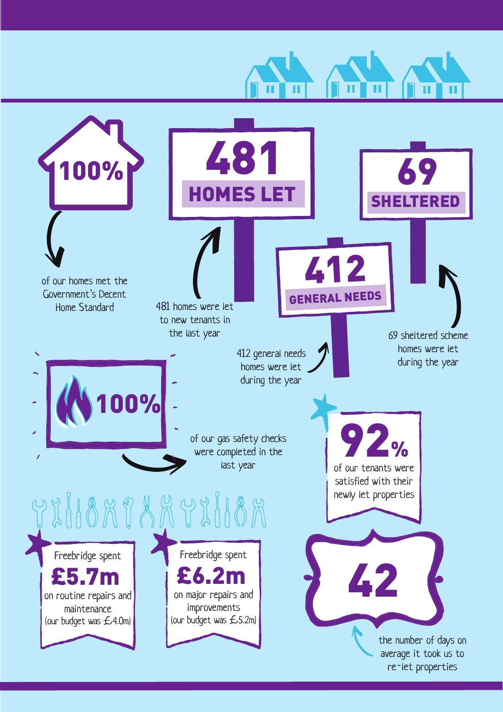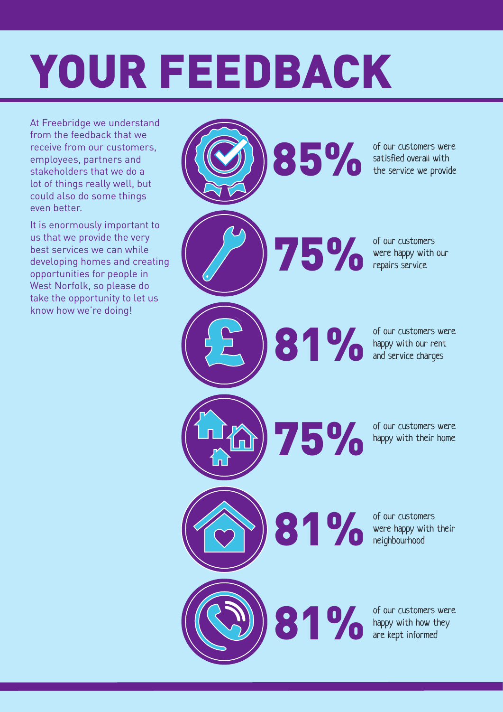### YOUR FEEDBACK

At Freebridge we understand from the feedback that we receive from our customers, employees, partners and stakeholders that we do a lot of things really well, but could also do some things even better.

It is enormously important to us that we provide the very best services we can while developing homes and creating opportunities for people in West Norfolk, so please do take the opportunity to let us know how we're doing!

85% of our customers were<br>the service we provide 81% of our customers<br>
were happy with<br>
repairs service 75% 81% 81% £ satisfied overall with the service we provide were happy with our repairs service of our customers were happy with our rent and service charges of our customers were happy with their home of our customers were happy with their neighbourhood of our customers were happy with how they are kept informed £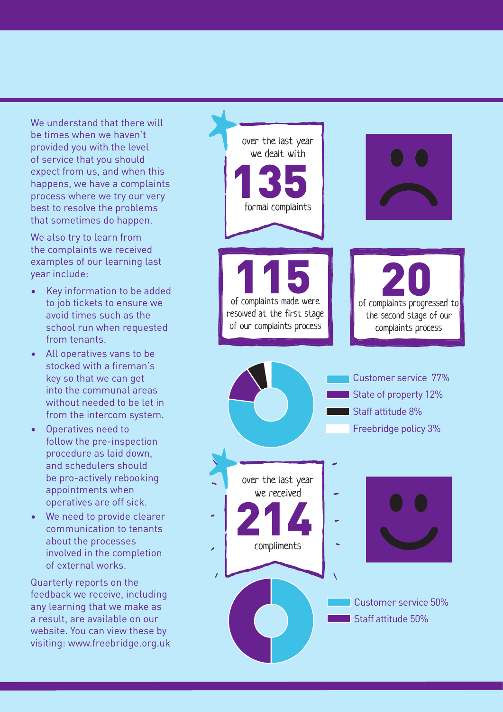We understand that there will be times when we haven't provided you with the level of service that you should expect from us, and when this happens, we have a complaints process where we try our very best to resolve the problems that sometimes do happen.

We also try to learn from the complaints we received examples of our learning last year include:

- Key information to be added to job tickets to ensure we avoid times such as the school run when requested from tenants.
- All operatives vans to be stocked with a fireman's key so that we can get into the communal areas without needed to be let in from the intercom system.
- Operatives need to follow the pre-inspection procedure as laid down, and schedulers should be pro-actively rebooking appointments when operatives are off sick.
- We need to provide clearer communication to tenants about the processes involved in the completion of external works.

Quarterly reports on the feedback we receive, including any learning that we make as a result, are available on our website. You can view these by visiting: www.freebridge.org.uk

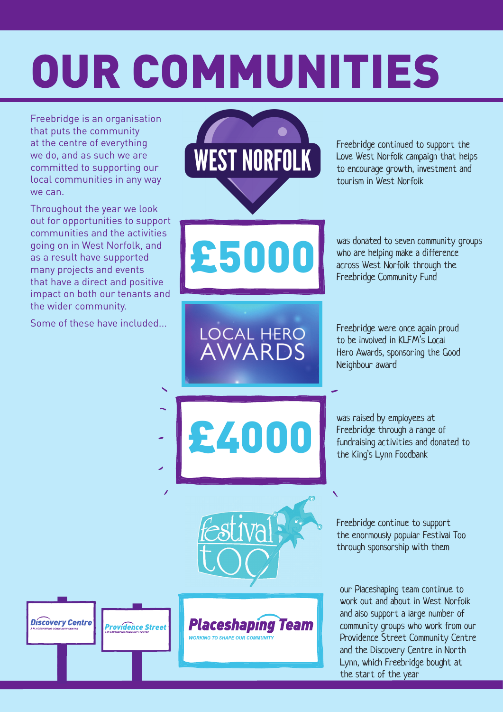# OUR COMMUNITIES

Freebridge is an organisation that puts the community at the centre of everything we do, and as such we are committed to supporting our local communities in any way we can.

Throughout the year we look out for opportunities to support communities and the activities going on in West Norfolk, and as a result have supported many projects and events that have a direct and positive impact on both our tenants and the wider community.

Some of these have included...

**Discovery Centre** 

**Providence Street** 

**WEST NORFOLK** 

£5000

LOCAL HERO<br>AWARDS

£4000

Placeshaping

**WORKING TO SHAPE OUR COMMUNITY** 

**Team** 

Freebridge continued to support the Love West Norfolk campaign that helps to encourage growth, investment and tourism in West Norfolk

was donated to seven community groups who are helping make a difference across West Norfolk through the Freebridge Community Fund

Freebridge were once again proud to be involved in KLFM's Local Hero Awards, sponsoring the Good Neighbour award

was raised by employees at Freebridge through a range of fundraising activities and donated to the King's Lynn Foodbank

Freebridge continue to support the enormously popular Festival Too through sponsorship with them

our Placeshaping team continue to work out and about in West Norfolk and also support a large number of community groups who work from our Providence Street Community Centre and the Discovery Centre in North Lynn, which Freebridge bought at the start of the year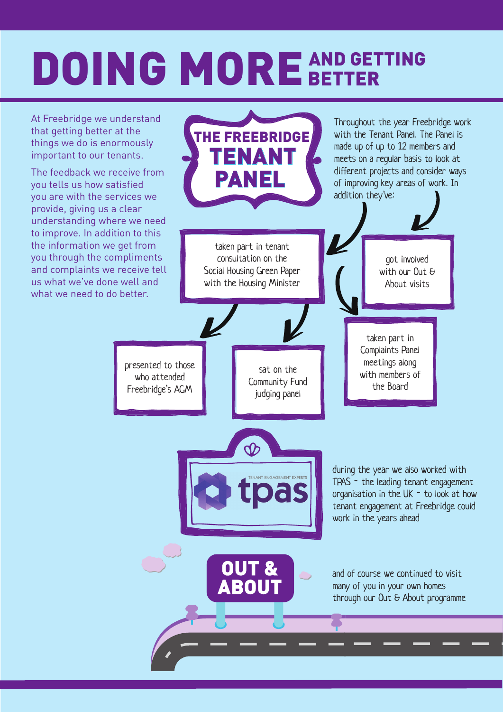### DOING MORE AND GETTING

At Freebridge we understand that getting better at the things we do is enormously important to our tenants.

The feedback we receive from you tells us how satisfied you are with the services we provide, giving us a clear understanding where we need to improve. In addition to this the information we get from you through the compliments and complaints we receive tell us what we've done well and what we need to do better.

Throughout the year Freebridge work with the Tenant Panel. The Panel is THE FREEBRIDGE made up of up to 12 members and TENANT meets on a regular basis to look at different projects and consider ways PANEL of improving key areas of work. In addition they've: taken part in tenant consultation on the got involved Social Housing Green Paper with our Out & with the Housing MinisterAbout visits taken part in Complaints Panel meetings along presented to those sat on the with members of who attended Community Fund the Board Freebridge's AGM judging panel during the year we also worked with TPAS - the leading tenant engagement as organisation in the UK - to look at how tenant engagement at Freebridge could work in the years ahead and of course we continued to visit many of you in your own homes through our Out & About programme